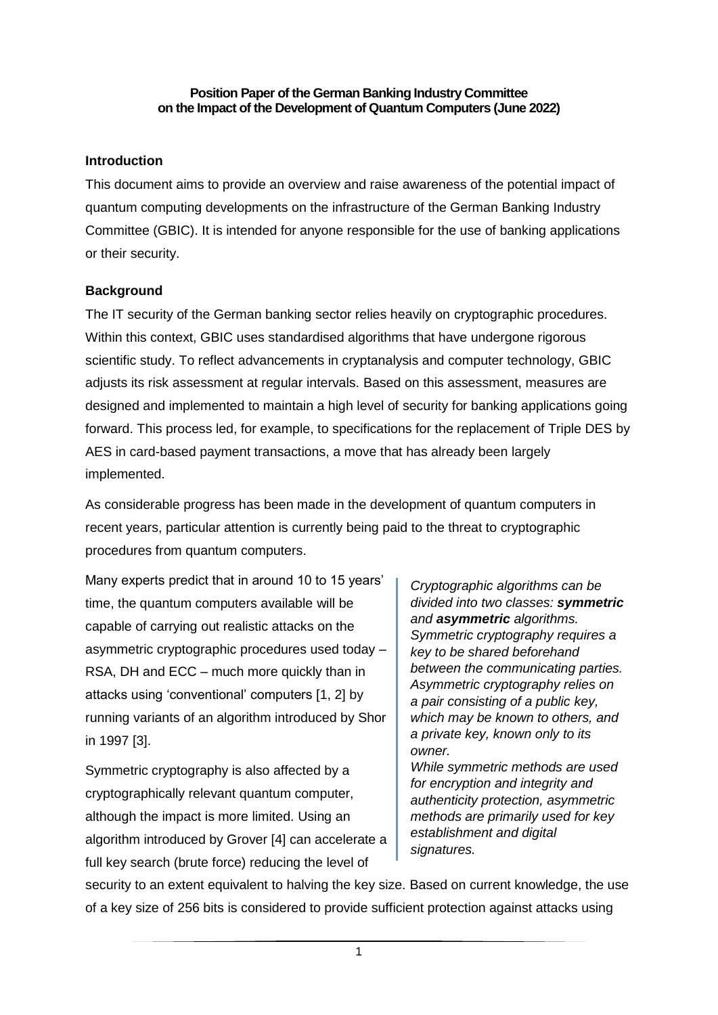#### **Position Paper of the German Banking Industry Committee on the Impact of the Development of Quantum Computers (June 2022)**

#### **Introduction**

This document aims to provide an overview and raise awareness of the potential impact of quantum computing developments on the infrastructure of the German Banking Industry Committee (GBIC). It is intended for anyone responsible for the use of banking applications or their security.

# **Background**

The IT security of the German banking sector relies heavily on cryptographic procedures. Within this context, GBIC uses standardised algorithms that have undergone rigorous scientific study. To reflect advancements in cryptanalysis and computer technology, GBIC adjusts its risk assessment at regular intervals. Based on this assessment, measures are designed and implemented to maintain a high level of security for banking applications going forward. This process led, for example, to specifications for the replacement of Triple DES by AES in card-based payment transactions, a move that has already been largely implemented.

As considerable progress has been made in the development of quantum computers in recent years, particular attention is currently being paid to the threat to cryptographic procedures from quantum computers.

Many experts predict that in around 10 to 15 years' time, the quantum computers available will be capable of carrying out realistic attacks on the asymmetric cryptographic procedures used today – RSA, DH and ECC – much more quickly than in attacks using 'conventional' computers [1, 2] by running variants of an algorithm introduced by Shor in 1997 [3].

Symmetric cryptography is also affected by a cryptographically relevant quantum computer, although the impact is more limited. Using an algorithm introduced by Grover [4] can accelerate a full key search (brute force) reducing the level of

*Cryptographic algorithms can be divided into two classes: symmetric and asymmetric algorithms. Symmetric cryptography requires a key to be shared beforehand between the communicating parties. Asymmetric cryptography relies on a pair consisting of a public key, which may be known to others, and a private key, known only to its owner.*

*While symmetric methods are used for encryption and integrity and authenticity protection, asymmetric methods are primarily used for key establishment and digital signatures.*

security to an extent equivalent to halving the key size. Based on current knowledge, the use of a key size of 256 bits is considered to provide sufficient protection against attacks using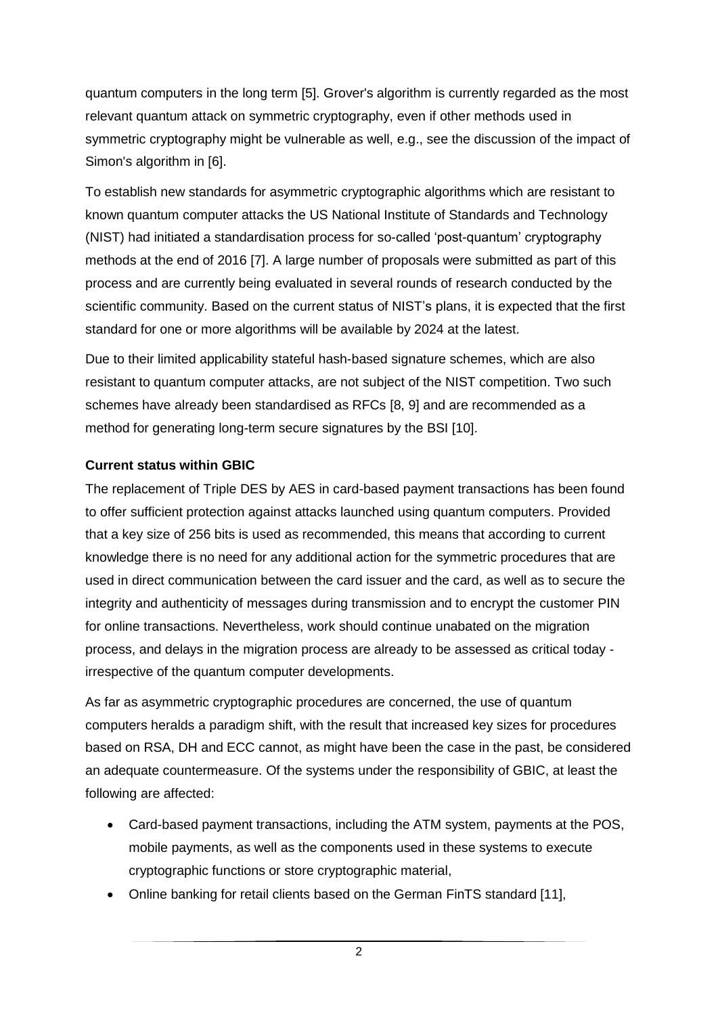quantum computers in the long term [5]. Grover's algorithm is currently regarded as the most relevant quantum attack on symmetric cryptography, even if other methods used in symmetric cryptography might be vulnerable as well, e.g., see the discussion of the impact of Simon's algorithm in [6].

To establish new standards for asymmetric cryptographic algorithms which are resistant to known quantum computer attacks the US National Institute of Standards and Technology (NIST) had initiated a standardisation process for so-called 'post-quantum' cryptography methods at the end of 2016 [7]. A large number of proposals were submitted as part of this process and are currently being evaluated in several rounds of research conducted by the scientific community. Based on the current status of NIST's plans, it is expected that the first standard for one or more algorithms will be available by 2024 at the latest.

Due to their limited applicability stateful hash-based signature schemes, which are also resistant to quantum computer attacks, are not subject of the NIST competition. Two such schemes have already been standardised as RFCs [8, 9] and are recommended as a method for generating long-term secure signatures by the BSI [10].

# **Current status within GBIC**

The replacement of Triple DES by AES in card-based payment transactions has been found to offer sufficient protection against attacks launched using quantum computers. Provided that a key size of 256 bits is used as recommended, this means that according to current knowledge there is no need for any additional action for the symmetric procedures that are used in direct communication between the card issuer and the card, as well as to secure the integrity and authenticity of messages during transmission and to encrypt the customer PIN for online transactions. Nevertheless, work should continue unabated on the migration process, and delays in the migration process are already to be assessed as critical today irrespective of the quantum computer developments.

As far as asymmetric cryptographic procedures are concerned, the use of quantum computers heralds a paradigm shift, with the result that increased key sizes for procedures based on RSA, DH and ECC cannot, as might have been the case in the past, be considered an adequate countermeasure. Of the systems under the responsibility of GBIC, at least the following are affected:

- Card-based payment transactions, including the ATM system, payments at the POS, mobile payments, as well as the components used in these systems to execute cryptographic functions or store cryptographic material,
- Online banking for retail clients based on the German FinTS standard [11],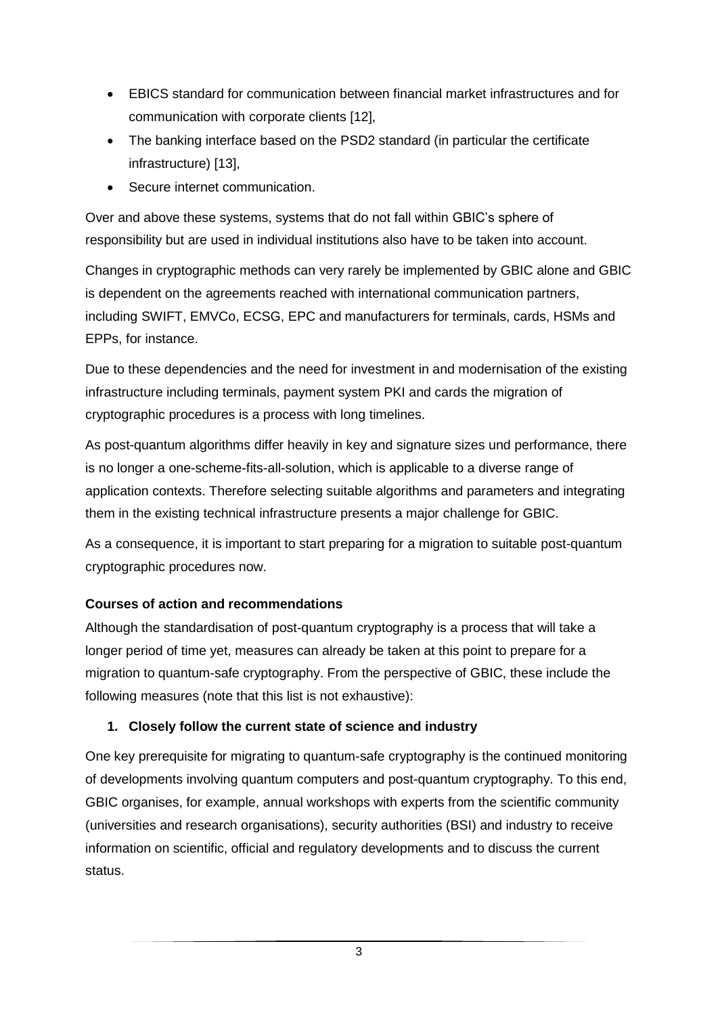- EBICS standard for communication between financial market infrastructures and for communication with corporate clients [12],
- The banking interface based on the PSD2 standard (in particular the certificate infrastructure) [13],
- Secure internet communication.

Over and above these systems, systems that do not fall within GBIC's sphere of responsibility but are used in individual institutions also have to be taken into account.

Changes in cryptographic methods can very rarely be implemented by GBIC alone and GBIC is dependent on the agreements reached with international communication partners, including SWIFT, EMVCo, ECSG, EPC and manufacturers for terminals, cards, HSMs and EPPs, for instance.

Due to these dependencies and the need for investment in and modernisation of the existing infrastructure including terminals, payment system PKI and cards the migration of cryptographic procedures is a process with long timelines.

As post-quantum algorithms differ heavily in key and signature sizes und performance, there is no longer a one-scheme-fits-all-solution, which is applicable to a diverse range of application contexts. Therefore selecting suitable algorithms and parameters and integrating them in the existing technical infrastructure presents a major challenge for GBIC.

As a consequence, it is important to start preparing for a migration to suitable post-quantum cryptographic procedures now.

# **Courses of action and recommendations**

Although the standardisation of post-quantum cryptography is a process that will take a longer period of time yet, measures can already be taken at this point to prepare for a migration to quantum-safe cryptography. From the perspective of GBIC, these include the following measures (note that this list is not exhaustive):

# **1. Closely follow the current state of science and industry**

One key prerequisite for migrating to quantum-safe cryptography is the continued monitoring of developments involving quantum computers and post-quantum cryptography. To this end, GBIC organises, for example, annual workshops with experts from the scientific community (universities and research organisations), security authorities (BSI) and industry to receive information on scientific, official and regulatory developments and to discuss the current status.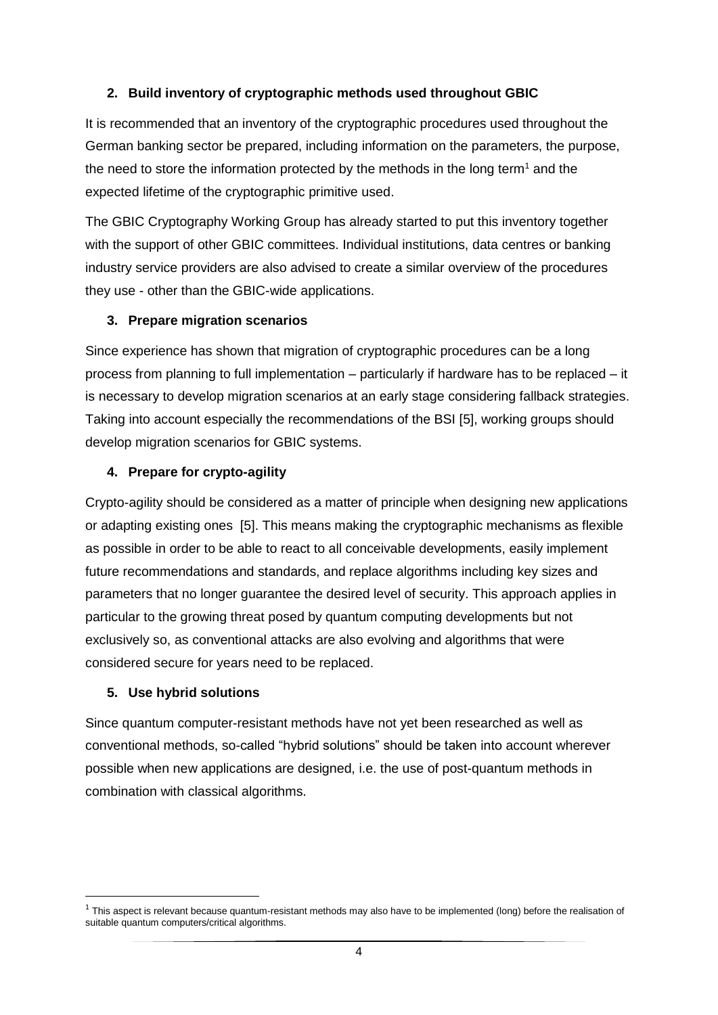# **2. Build inventory of cryptographic methods used throughout GBIC**

It is recommended that an inventory of the cryptographic procedures used throughout the German banking sector be prepared, including information on the parameters, the purpose, the need to store the information protected by the methods in the long term<sup>1</sup> and the expected lifetime of the cryptographic primitive used.

The GBIC Cryptography Working Group has already started to put this inventory together with the support of other GBIC committees. Individual institutions, data centres or banking industry service providers are also advised to create a similar overview of the procedures they use - other than the GBIC-wide applications.

# **3. Prepare migration scenarios**

Since experience has shown that migration of cryptographic procedures can be a long process from planning to full implementation – particularly if hardware has to be replaced – it is necessary to develop migration scenarios at an early stage considering fallback strategies. Taking into account especially the recommendations of the BSI [5], working groups should develop migration scenarios for GBIC systems.

# **4. Prepare for crypto-agility**

Crypto-agility should be considered as a matter of principle when designing new applications or adapting existing ones [5]. This means making the cryptographic mechanisms as flexible as possible in order to be able to react to all conceivable developments, easily implement future recommendations and standards, and replace algorithms including key sizes and parameters that no longer guarantee the desired level of security. This approach applies in particular to the growing threat posed by quantum computing developments but not exclusively so, as conventional attacks are also evolving and algorithms that were considered secure for years need to be replaced.

#### **5. Use hybrid solutions**

**.** 

Since quantum computer-resistant methods have not yet been researched as well as conventional methods, so-called "hybrid solutions" should be taken into account wherever possible when new applications are designed, i.e. the use of post-quantum methods in combination with classical algorithms.

 $1$  This aspect is relevant because quantum-resistant methods may also have to be implemented (long) before the realisation of suitable quantum computers/critical algorithms.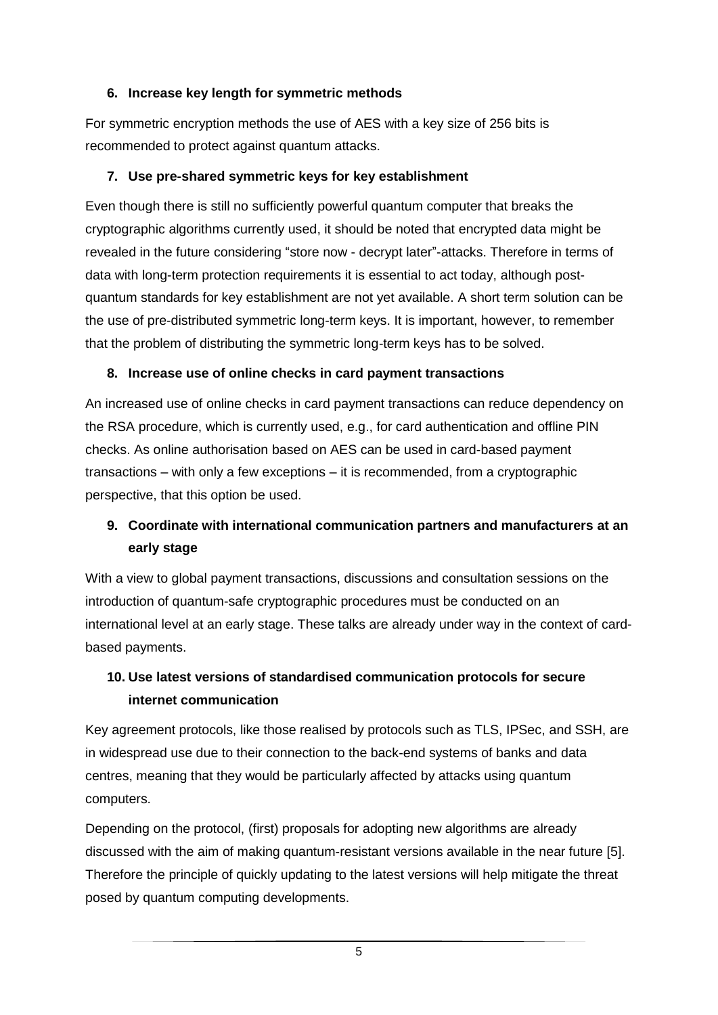# **6. Increase key length for symmetric methods**

For symmetric encryption methods the use of AES with a key size of 256 bits is recommended to protect against quantum attacks.

# **7. Use pre-shared symmetric keys for key establishment**

Even though there is still no sufficiently powerful quantum computer that breaks the cryptographic algorithms currently used, it should be noted that encrypted data might be revealed in the future considering "store now - decrypt later"-attacks. Therefore in terms of data with long-term protection requirements it is essential to act today, although postquantum standards for key establishment are not yet available. A short term solution can be the use of pre-distributed symmetric long-term keys. It is important, however, to remember that the problem of distributing the symmetric long-term keys has to be solved.

# **8. Increase use of online checks in card payment transactions**

An increased use of online checks in card payment transactions can reduce dependency on the RSA procedure, which is currently used, e.g., for card authentication and offline PIN checks. As online authorisation based on AES can be used in card-based payment transactions – with only a few exceptions – it is recommended, from a cryptographic perspective, that this option be used.

# **9. Coordinate with international communication partners and manufacturers at an early stage**

With a view to global payment transactions, discussions and consultation sessions on the introduction of quantum-safe cryptographic procedures must be conducted on an international level at an early stage. These talks are already under way in the context of cardbased payments.

# **10. Use latest versions of standardised communication protocols for secure internet communication**

Key agreement protocols, like those realised by protocols such as TLS, IPSec, and SSH, are in widespread use due to their connection to the back-end systems of banks and data centres, meaning that they would be particularly affected by attacks using quantum computers.

Depending on the protocol, (first) proposals for adopting new algorithms are already discussed with the aim of making quantum-resistant versions available in the near future [5]. Therefore the principle of quickly updating to the latest versions will help mitigate the threat posed by quantum computing developments.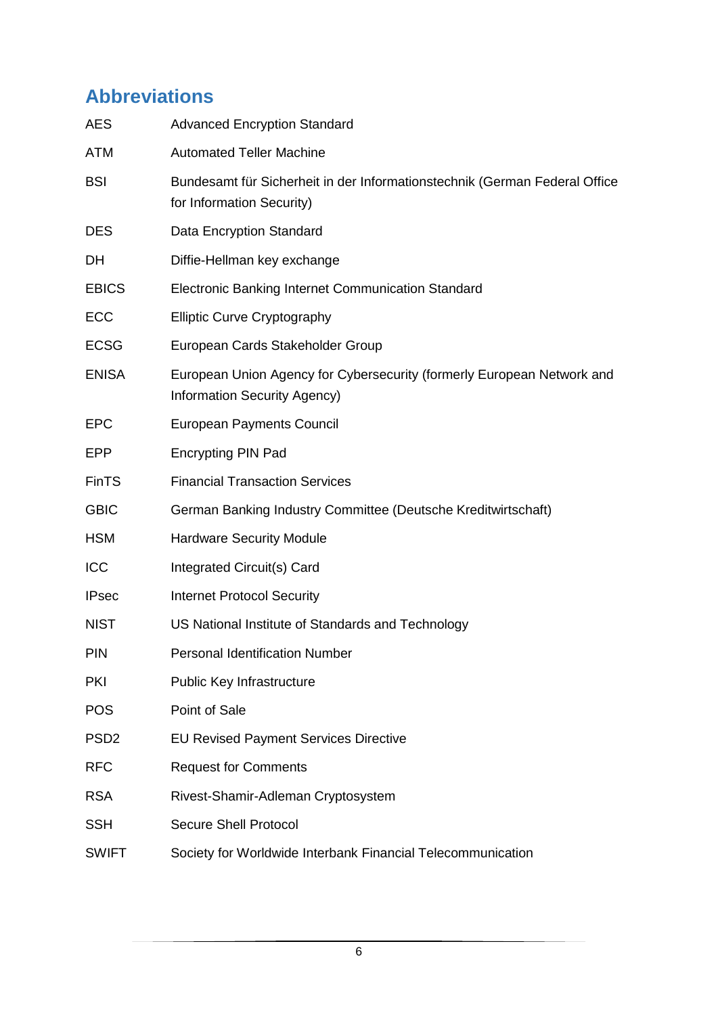# **Abbreviations**

| <b>AES</b>       | <b>Advanced Encryption Standard</b>                                                                     |
|------------------|---------------------------------------------------------------------------------------------------------|
| <b>ATM</b>       | <b>Automated Teller Machine</b>                                                                         |
| <b>BSI</b>       | Bundesamt für Sicherheit in der Informationstechnik (German Federal Office<br>for Information Security) |
| <b>DES</b>       | Data Encryption Standard                                                                                |
| DH               | Diffie-Hellman key exchange                                                                             |
| <b>EBICS</b>     | Electronic Banking Internet Communication Standard                                                      |
| <b>ECC</b>       | <b>Elliptic Curve Cryptography</b>                                                                      |
| <b>ECSG</b>      | European Cards Stakeholder Group                                                                        |
| <b>ENISA</b>     | European Union Agency for Cybersecurity (formerly European Network and<br>Information Security Agency)  |
| <b>EPC</b>       | <b>European Payments Council</b>                                                                        |
| <b>EPP</b>       | <b>Encrypting PIN Pad</b>                                                                               |
| <b>FinTS</b>     | <b>Financial Transaction Services</b>                                                                   |
| <b>GBIC</b>      | German Banking Industry Committee (Deutsche Kreditwirtschaft)                                           |
| <b>HSM</b>       | <b>Hardware Security Module</b>                                                                         |
| ICC              | Integrated Circuit(s) Card                                                                              |
| <b>IPsec</b>     | <b>Internet Protocol Security</b>                                                                       |
| <b>NIST</b>      | US National Institute of Standards and Technology                                                       |
| <b>PIN</b>       | <b>Personal Identification Number</b>                                                                   |
| <b>PKI</b>       | Public Key Infrastructure                                                                               |
| <b>POS</b>       | Point of Sale                                                                                           |
| PSD <sub>2</sub> | <b>EU Revised Payment Services Directive</b>                                                            |
| <b>RFC</b>       | <b>Request for Comments</b>                                                                             |
| <b>RSA</b>       | Rivest-Shamir-Adleman Cryptosystem                                                                      |
| <b>SSH</b>       | <b>Secure Shell Protocol</b>                                                                            |
| <b>SWIFT</b>     | Society for Worldwide Interbank Financial Telecommunication                                             |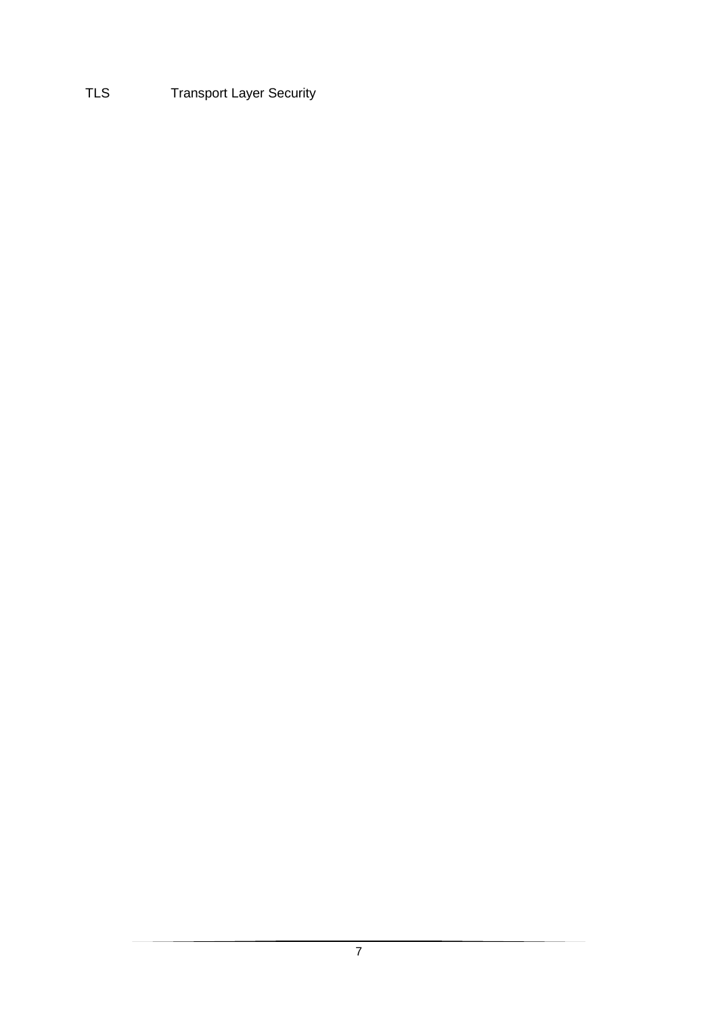# TLS **Transport Layer Security**